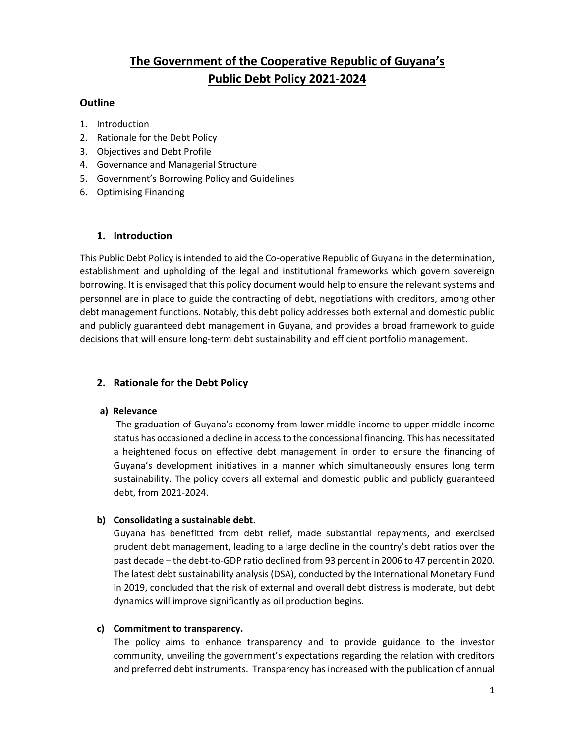# **The Government of the Cooperative Republic of Guyana's Public Debt Policy 2021-2024**

# **Outline**

- 1. Introduction
- 2. Rationale for the Debt Policy
- 3. Objectives and Debt Profile
- 4. Governance and Managerial Structure
- 5. Government's Borrowing Policy and Guidelines
- 6. Optimising Financing

# **1. Introduction**

This Public Debt Policy is intended to aid the Co-operative Republic of Guyana in the determination, establishment and upholding of the legal and institutional frameworks which govern sovereign borrowing. It is envisaged that this policy document would help to ensure the relevant systems and personnel are in place to guide the contracting of debt, negotiations with creditors, among other debt management functions. Notably, this debt policy addresses both external and domestic public and publicly guaranteed debt management in Guyana, and provides a broad framework to guide decisions that will ensure long-term debt sustainability and efficient portfolio management.

# **2. Rationale for the Debt Policy**

## **a) Relevance**

The graduation of Guyana's economy from lower middle-income to upper middle-income status has occasioned a decline in access to the concessional financing. This has necessitated a heightened focus on effective debt management in order to ensure the financing of Guyana's development initiatives in a manner which simultaneously ensures long term sustainability. The policy covers all external and domestic public and publicly guaranteed debt, from 2021-2024.

# **b) Consolidating a sustainable debt.**

Guyana has benefitted from debt relief, made substantial repayments, and exercised prudent debt management, leading to a large decline in the country's debt ratios over the past decade – the debt-to-GDP ratio declined from 93 percent in 2006 to 47 percent in 2020. The latest debt sustainability analysis (DSA), conducted by the International Monetary Fund in 2019, concluded that the risk of external and overall debt distress is moderate, but debt dynamics will improve significantly as oil production begins.

## **c) Commitment to transparency.**

The policy aims to enhance transparency and to provide guidance to the investor community, unveiling the government's expectations regarding the relation with creditors and preferred debt instruments. Transparency has increased with the publication of annual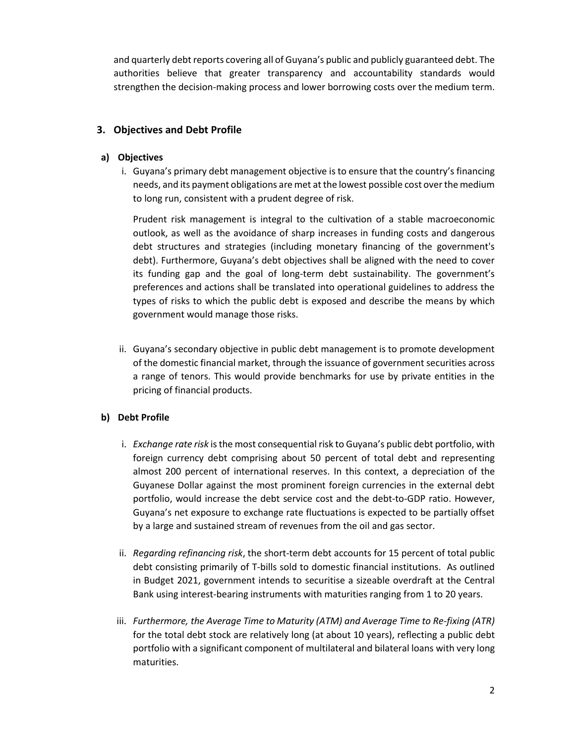and quarterly debt reports covering all of Guyana's public and publicly guaranteed debt. The authorities believe that greater transparency and accountability standards would strengthen the decision-making process and lower borrowing costs over the medium term.

# **3. Objectives and Debt Profile**

## **a) Objectives**

i. Guyana's primary debt management objective is to ensure that the country's financing needs, and its payment obligations are met at the lowest possible cost over the medium to long run, consistent with a prudent degree of risk.

Prudent risk management is integral to the cultivation of a stable macroeconomic outlook, as well as the avoidance of sharp increases in funding costs and dangerous debt structures and strategies (including monetary financing of the government's debt). Furthermore, Guyana's debt objectives shall be aligned with the need to cover its funding gap and the goal of long-term debt sustainability. The government's preferences and actions shall be translated into operational guidelines to address the types of risks to which the public debt is exposed and describe the means by which government would manage those risks.

ii. Guyana's secondary objective in public debt management is to promote development of the domestic financial market, through the issuance of government securities across a range of tenors. This would provide benchmarks for use by private entities in the pricing of financial products.

# **b) Debt Profile**

- i. *Exchange rate risk* is the most consequential risk to Guyana's public debt portfolio, with foreign currency debt comprising about 50 percent of total debt and representing almost 200 percent of international reserves. In this context, a depreciation of the Guyanese Dollar against the most prominent foreign currencies in the external debt portfolio, would increase the debt service cost and the debt-to-GDP ratio. However, Guyana's net exposure to exchange rate fluctuations is expected to be partially offset by a large and sustained stream of revenues from the oil and gas sector.
- ii. *Regarding refinancing risk*, the short-term debt accounts for 15 percent of total public debt consisting primarily of T-bills sold to domestic financial institutions. As outlined in Budget 2021, government intends to securitise a sizeable overdraft at the Central Bank using interest-bearing instruments with maturities ranging from 1 to 20 years.
- iii. *Furthermore, the Average Time to Maturity (ATM) and Average Time to Re-fixing (ATR)* for the total debt stock are relatively long (at about 10 years), reflecting a public debt portfolio with a significant component of multilateral and bilateral loans with very long maturities.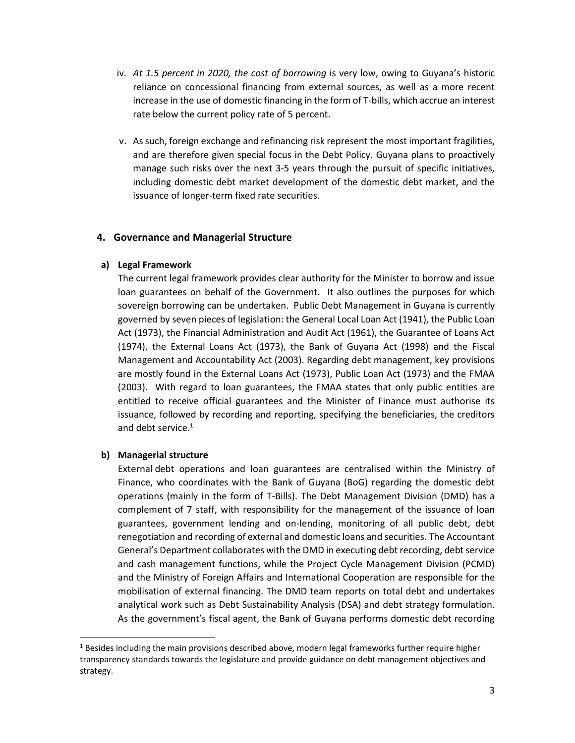- iv. *At 1.5 percent in 2020, the cost of borrowing* is very low, owing to Guyana's historic reliance on concessional financing from external sources, as well as a more recent increase in the use of domestic financing in the form of T-bills, which accrue an interest rate below the current policy rate of 5 percent.
- v. As such, foreign exchange and refinancing risk represent the most important fragilities, and are therefore given special focus in the Debt Policy. Guyana plans to proactively manage such risks over the next 3-5 years through the pursuit of specific initiatives, including domestic debt market development of the domestic debt market, and the issuance of longer-term fixed rate securities.

## **4. Governance and Managerial Structure**

## **a) Legal Framework**

The current legal framework provides clear authority for the Minister to borrow and issue loan guarantees on behalf of the Government. It also outlines the purposes for which sovereign borrowing can be undertaken. Public Debt Management in Guyana is currently governed by seven pieces of legislation: the General Local Loan Act (1941), the Public Loan Act (1973), the Financial Administration and Audit Act (1961), the Guarantee of Loans Act (1974), the External Loans Act (1973), the Bank of Guyana Act (1998) and the Fiscal Management and Accountability Act (2003). Regarding debt management, key provisions are mostly found in the External Loans Act (1973), Public Loan Act (1973) and the FMAA (2003). With regard to loan guarantees, the FMAA states that only public entities are entitled to receive official guarantees and the Minister of Finance must authorise its issuance, followed by recording and reporting, specifying the beneficiaries, the creditors and debt service.<sup>1</sup>

## **b) Managerial structure**

 $\overline{a}$ 

External debt operations and loan guarantees are centralised within the Ministry of Finance, who coordinates with the Bank of Guyana (BoG) regarding the domestic debt operations (mainly in the form of T-Bills). The Debt Management Division (DMD) has a complement of 7 staff, with responsibility for the management of the issuance of loan guarantees, government lending and on-lending, monitoring of all public debt, debt renegotiation and recording of external and domestic loans and securities. The Accountant General's Department collaborates with the DMD in executing debt recording, debt service and cash management functions, while the Project Cycle Management Division (PCMD) and the Ministry of Foreign Affairs and International Cooperation are responsible for the mobilisation of external financing. The DMD team reports on total debt and undertakes analytical work such as Debt Sustainability Analysis (DSA) and debt strategy formulation. As the government's fiscal agent, the Bank of Guyana performs domestic debt recording

<sup>&</sup>lt;sup>1</sup> Besides including the main provisions described above, modern legal frameworks further require higher transparency standards towards the legislature and provide guidance on debt management objectives and strategy.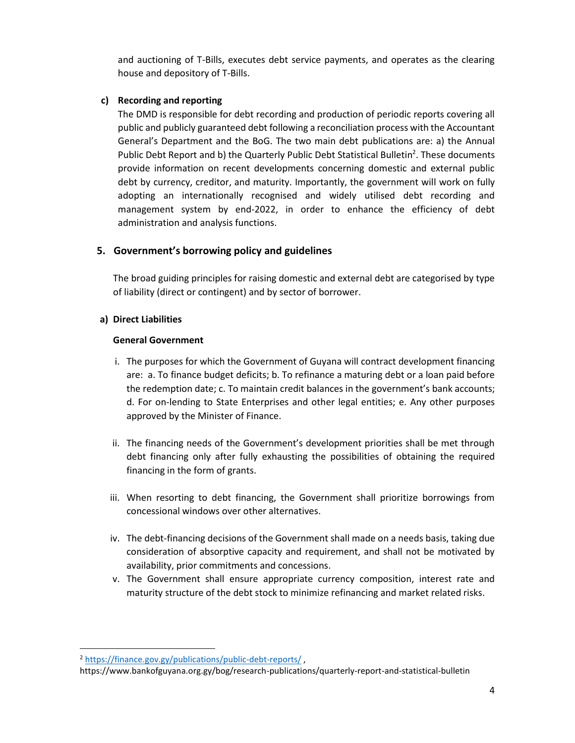and auctioning of T-Bills, executes debt service payments, and operates as the clearing house and depository of T-Bills.

# **c) Recording and reporting**

The DMD is responsible for debt recording and production of periodic reports covering all public and publicly guaranteed debt following a reconciliation process with the Accountant General's Department and the BoG. The two main debt publications are: a) the Annual Public Debt Report and b) the Quarterly Public Debt Statistical Bulletin<sup>2</sup>. These documents provide information on recent developments concerning domestic and external public debt by currency, creditor, and maturity. Importantly, the government will work on fully adopting an internationally recognised and widely utilised debt recording and management system by end-2022, in order to enhance the efficiency of debt administration and analysis functions.

# **5. Government's borrowing policy and guidelines**

The broad guiding principles for raising domestic and external debt are categorised by type of liability (direct or contingent) and by sector of borrower.

## **a) Direct Liabilities**

## **General Government**

- i. The purposes for which the Government of Guyana will contract development financing are: a. To finance budget deficits; b. To refinance a maturing debt or a loan paid before the redemption date; c. To maintain credit balances in the government's bank accounts; d. For on-lending to State Enterprises and other legal entities; e. Any other purposes approved by the Minister of Finance.
- ii. The financing needs of the Government's development priorities shall be met through debt financing only after fully exhausting the possibilities of obtaining the required financing in the form of grants.
- iii. When resorting to debt financing, the Government shall prioritize borrowings from concessional windows over other alternatives.
- iv. The debt-financing decisions of the Government shall made on a needs basis, taking due consideration of absorptive capacity and requirement, and shall not be motivated by availability, prior commitments and concessions.
- v. The Government shall ensure appropriate currency composition, interest rate and maturity structure of the debt stock to minimize refinancing and market related risks.

 $\overline{a}$ 

<sup>2</sup> <https://finance.gov.gy/publications/public-debt-reports/> ,

https://www.bankofguyana.org.gy/bog/research-publications/quarterly-report-and-statistical-bulletin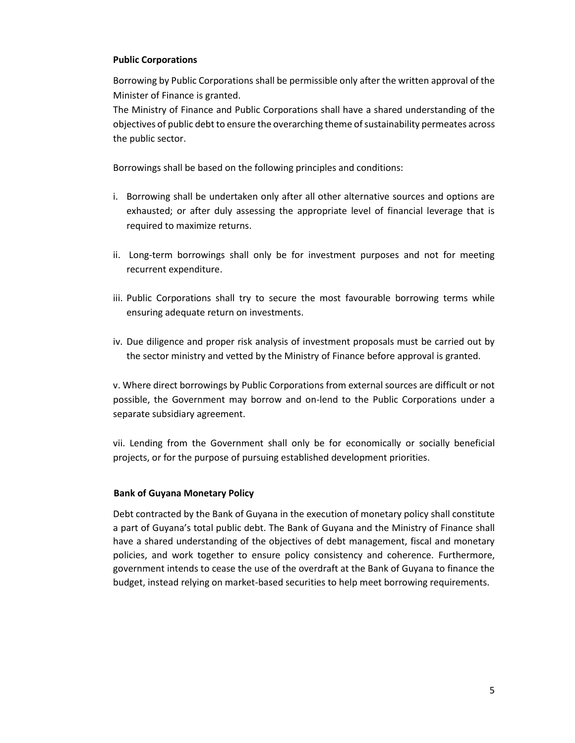## **Public Corporations**

Borrowing by Public Corporations shall be permissible only after the written approval of the Minister of Finance is granted.

The Ministry of Finance and Public Corporations shall have a shared understanding of the objectives of public debt to ensure the overarching theme of sustainability permeates across the public sector.

Borrowings shall be based on the following principles and conditions:

- i. Borrowing shall be undertaken only after all other alternative sources and options are exhausted; or after duly assessing the appropriate level of financial leverage that is required to maximize returns.
- ii. Long-term borrowings shall only be for investment purposes and not for meeting recurrent expenditure.
- iii. Public Corporations shall try to secure the most favourable borrowing terms while ensuring adequate return on investments.
- iv. Due diligence and proper risk analysis of investment proposals must be carried out by the sector ministry and vetted by the Ministry of Finance before approval is granted.

v. Where direct borrowings by Public Corporations from external sources are difficult or not possible, the Government may borrow and on-lend to the Public Corporations under a separate subsidiary agreement.

vii. Lending from the Government shall only be for economically or socially beneficial projects, or for the purpose of pursuing established development priorities.

## **Bank of Guyana Monetary Policy**

Debt contracted by the Bank of Guyana in the execution of monetary policy shall constitute a part of Guyana's total public debt. The Bank of Guyana and the Ministry of Finance shall have a shared understanding of the objectives of debt management, fiscal and monetary policies, and work together to ensure policy consistency and coherence. Furthermore, government intends to cease the use of the overdraft at the Bank of Guyana to finance the budget, instead relying on market-based securities to help meet borrowing requirements.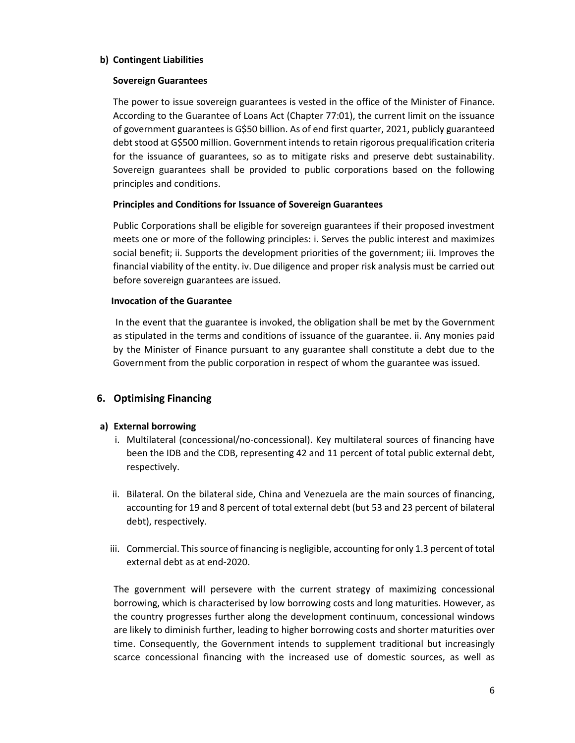## **b) Contingent Liabilities**

## **Sovereign Guarantees**

The power to issue sovereign guarantees is vested in the office of the Minister of Finance. According to the Guarantee of Loans Act (Chapter 77:01), the current limit on the issuance of government guarantees is G\$50 billion. As of end first quarter, 2021, publicly guaranteed debt stood at G\$500 million. Government intends to retain rigorous prequalification criteria for the issuance of guarantees, so as to mitigate risks and preserve debt sustainability. Sovereign guarantees shall be provided to public corporations based on the following principles and conditions.

## **Principles and Conditions for Issuance of Sovereign Guarantees**

Public Corporations shall be eligible for sovereign guarantees if their proposed investment meets one or more of the following principles: i. Serves the public interest and maximizes social benefit; ii. Supports the development priorities of the government; iii. Improves the financial viability of the entity. iv. Due diligence and proper risk analysis must be carried out before sovereign guarantees are issued.

#### **Invocation of the Guarantee**

In the event that the guarantee is invoked, the obligation shall be met by the Government as stipulated in the terms and conditions of issuance of the guarantee. ii. Any monies paid by the Minister of Finance pursuant to any guarantee shall constitute a debt due to the Government from the public corporation in respect of whom the guarantee was issued.

# **6. Optimising Financing**

## **a) External borrowing**

- i. Multilateral (concessional/no-concessional). Key multilateral sources of financing have been the IDB and the CDB, representing 42 and 11 percent of total public external debt, respectively.
- ii. Bilateral. On the bilateral side, China and Venezuela are the main sources of financing, accounting for 19 and 8 percent of total external debt (but 53 and 23 percent of bilateral debt), respectively.
- iii. Commercial. This source of financing is negligible, accounting for only 1.3 percent of total external debt as at end-2020.

The government will persevere with the current strategy of maximizing concessional borrowing, which is characterised by low borrowing costs and long maturities. However, as the country progresses further along the development continuum, concessional windows are likely to diminish further, leading to higher borrowing costs and shorter maturities over time. Consequently, the Government intends to supplement traditional but increasingly scarce concessional financing with the increased use of domestic sources, as well as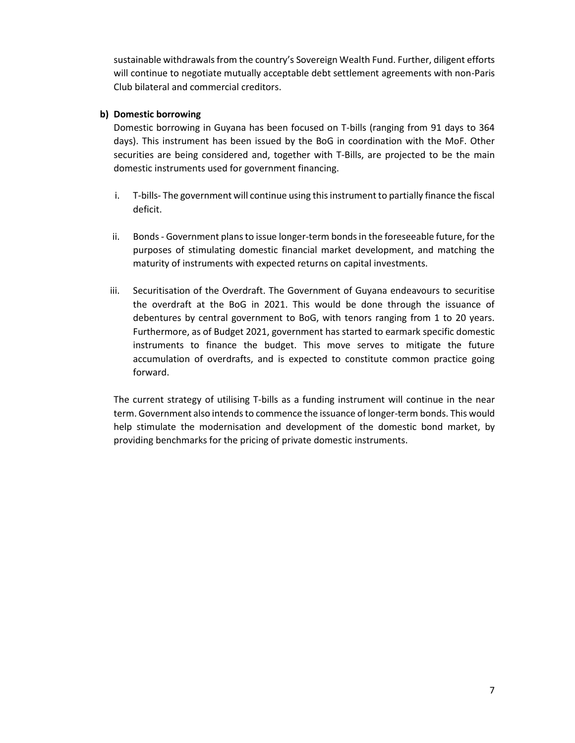sustainable withdrawals from the country's Sovereign Wealth Fund. Further, diligent efforts will continue to negotiate mutually acceptable debt settlement agreements with non-Paris Club bilateral and commercial creditors.

## **b) Domestic borrowing**

Domestic borrowing in Guyana has been focused on T-bills (ranging from 91 days to 364 days). This instrument has been issued by the BoG in coordination with the MoF. Other securities are being considered and, together with T-Bills, are projected to be the main domestic instruments used for government financing.

- i. T-bills- The government will continue using this instrument to partially finance the fiscal deficit.
- ii. Bonds Government plans to issue longer-term bonds in the foreseeable future, for the purposes of stimulating domestic financial market development, and matching the maturity of instruments with expected returns on capital investments.
- iii. Securitisation of the Overdraft. The Government of Guyana endeavours to securitise the overdraft at the BoG in 2021. This would be done through the issuance of debentures by central government to BoG, with tenors ranging from 1 to 20 years. Furthermore, as of Budget 2021, government has started to earmark specific domestic instruments to finance the budget. This move serves to mitigate the future accumulation of overdrafts, and is expected to constitute common practice going forward.

The current strategy of utilising T-bills as a funding instrument will continue in the near term. Government also intends to commence the issuance of longer-term bonds. This would help stimulate the modernisation and development of the domestic bond market, by providing benchmarks for the pricing of private domestic instruments.